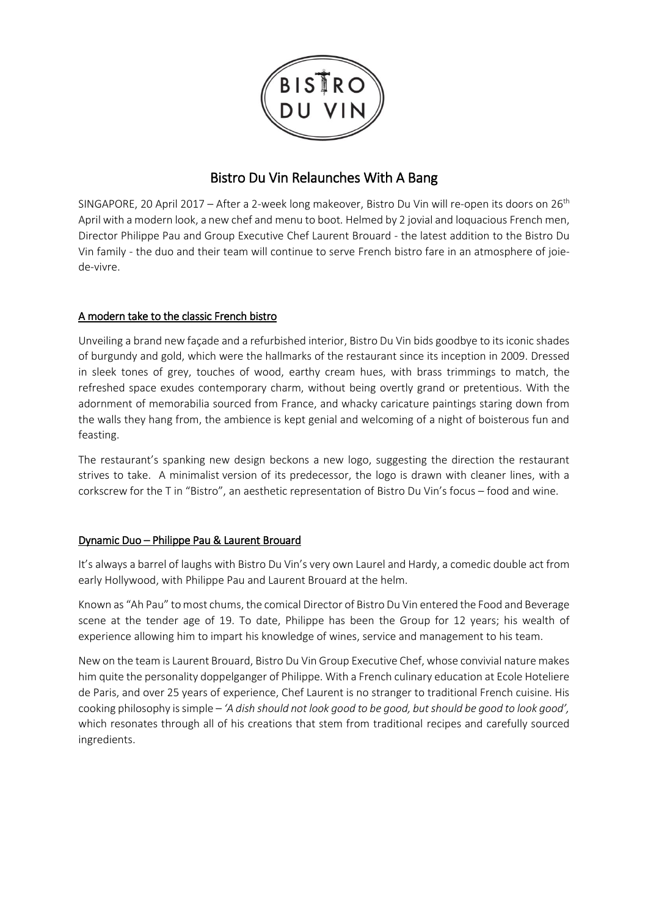

# Bistro Du Vin Relaunches With A Bang

SINGAPORE, 20 April 2017 – After a 2-week long makeover, Bistro Du Vin will re-open its doors on 26<sup>th</sup> April with a modern look, a new chef and menu to boot. Helmed by 2 jovial and loquacious French men, Director Philippe Pau and Group Executive Chef Laurent Brouard - the latest addition to the Bistro Du Vin family - the duo and their team will continue to serve French bistro fare in an atmosphere of joiede-vivre.

### A modern take to the classic French bistro

Unveiling a brand new façade and a refurbished interior, Bistro Du Vin bids goodbye to its iconic shades of burgundy and gold, which were the hallmarks of the restaurant since its inception in 2009. Dressed in sleek tones of grey, touches of wood, earthy cream hues, with brass trimmings to match, the refreshed space exudes contemporary charm, without being overtly grand or pretentious. With the adornment of memorabilia sourced from France, and whacky caricature paintings staring down from the walls they hang from, the ambience is kept genial and welcoming of a night of boisterous fun and feasting.

The restaurant's spanking new design beckons a new logo, suggesting the direction the restaurant strives to take. A minimalist version of its predecessor, the logo is drawn with cleaner lines, with a corkscrew for the T in "Bistro", an aesthetic representation of Bistro Du Vin's focus – food and wine.

### Dynamic Duo – Philippe Pau & Laurent Brouard

It's always a barrel of laughs with Bistro Du Vin's very own Laurel and Hardy, a comedic double act from early Hollywood, with Philippe Pau and Laurent Brouard at the helm.

Known as "Ah Pau" to most chums, the comical Director of Bistro Du Vin entered the Food and Beverage scene at the tender age of 19. To date, Philippe has been the Group for 12 years; his wealth of experience allowing him to impart his knowledge of wines, service and management to his team.

New on the team is Laurent Brouard, Bistro Du Vin Group Executive Chef, whose convivial nature makes him quite the personality doppelganger of Philippe. With a French culinary education at Ecole Hoteliere de Paris, and over 25 years of experience, Chef Laurent is no stranger to traditional French cuisine. His cooking philosophy is simple – *'A dish should not look good to be good, but should be good to look good',*  which resonates through all of his creations that stem from traditional recipes and carefully sourced ingredients.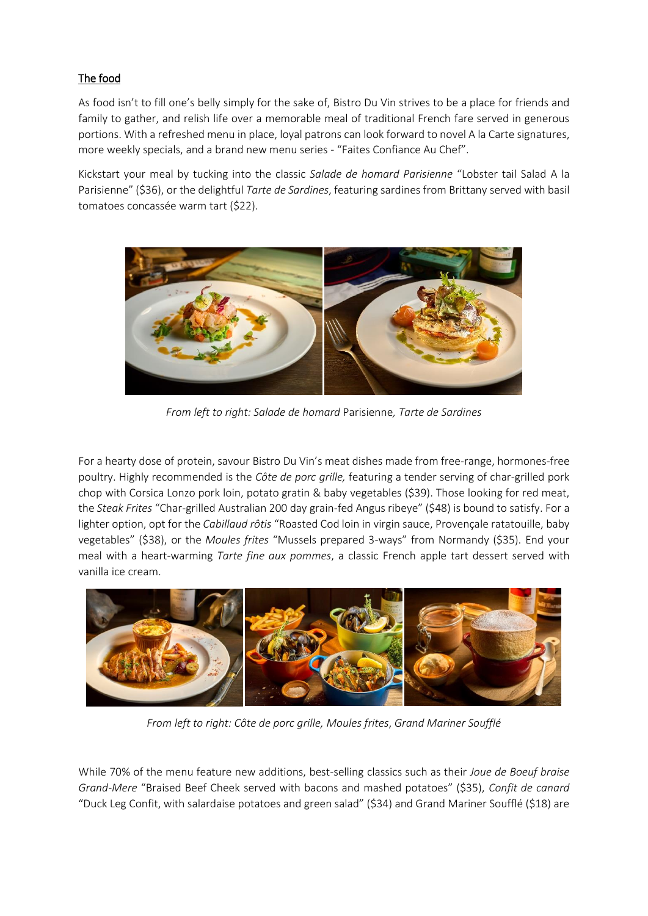## The food

As food isn't to fill one's belly simply for the sake of, Bistro Du Vin strives to be a place for friends and family to gather, and relish life over a memorable meal of traditional French fare served in generous portions. With a refreshed menu in place, loyal patrons can look forward to novel A la Carte signatures, more weekly specials, and a brand new menu series - "Faites Confiance Au Chef".

Kickstart your meal by tucking into the classic *Salade de homard Parisienne* "Lobster tail Salad A la Parisienne" (\$36), or the delightful *Tarte de Sardines*, featuring sardines from Brittany served with basil tomatoes concassée warm tart (\$22).



*From left to right: Salade de homard* Parisienne*, Tarte de Sardines*

For a hearty dose of protein, savour Bistro Du Vin's meat dishes made from free-range, hormones-free poultry. Highly recommended is the *Côte de porc grille,* featuring a tender serving of char-grilled pork chop with Corsica Lonzo pork loin, potato gratin & baby vegetables (\$39). Those looking for red meat, the *Steak Frites* "Char-grilled Australian 200 day grain-fed Angus ribeye" (\$48) is bound to satisfy. For a lighter option, opt for the *Cabillaud rôtis* "Roasted Cod loin in virgin sauce, Provençale ratatouille, baby vegetables" (\$38), or the *Moules frites* "Mussels prepared 3-ways" from Normandy (\$35). End your meal with a heart-warming *Tarte fine aux pommes*, a classic French apple tart dessert served with vanilla ice cream.



*From left to right: Côte de porc grille, Moules frites*, *Grand Mariner Soufflé*

While 70% of the menu feature new additions, best-selling classics such as their *Joue de Boeuf braise Grand-Mere* "Braised Beef Cheek served with bacons and mashed potatoes" (\$35), *Confit de canard* "Duck Leg Confit, with salardaise potatoes and green salad" (\$34) and Grand Mariner Soufflé (\$18) are